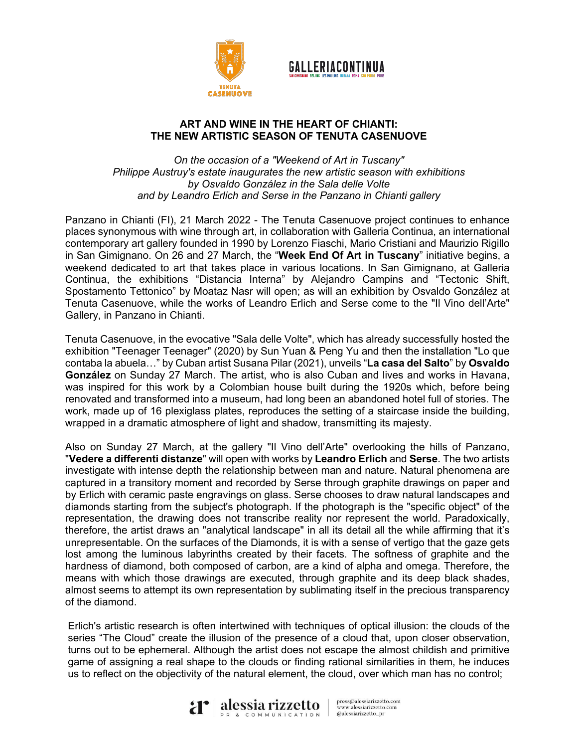

## **GALLERIACONTINUA**

## **ART AND WINE IN THE HEART OF CHIANTI: THE NEW ARTISTIC SEASON OF TENUTA CASENUOVE**

*On the occasion of a "Weekend of Art in Tuscany" Philippe Austruy's estate inaugurates the new artistic season with exhibitions by Osvaldo González in the Sala delle Volte and by Leandro Erlich and Serse in the Panzano in Chianti gallery*

Panzano in Chianti (FI), 21 March 2022 - The Tenuta Casenuove project continues to enhance places synonymous with wine through art, in collaboration with Galleria Continua, an international contemporary art gallery founded in 1990 by Lorenzo Fiaschi, Mario Cristiani and Maurizio Rigillo in San Gimignano. On 26 and 27 March, the "**Week End Of Art in Tuscany**" initiative begins, a weekend dedicated to art that takes place in various locations. In San Gimignano, at Galleria Continua, the exhibitions "Distancia Interna" by Alejandro Campins and "Tectonic Shift, Spostamento Tettonico" by Moataz Nasr will open; as will an exhibition by Osvaldo González at Tenuta Casenuove, while the works of Leandro Erlich and Serse come to the "Il Vino dell'Arte" Gallery, in Panzano in Chianti.

Tenuta Casenuove, in the evocative "Sala delle Volte", which has already successfully hosted the exhibition "Teenager Teenager" (2020) by Sun Yuan & Peng Yu and then the installation "Lo que contaba la abuela…" by Cuban artist Susana Pilar (2021), unveils "**La casa del Salto**" by **Osvaldo González** on Sunday 27 March. The artist, who is also Cuban and lives and works in Havana, was inspired for this work by a Colombian house built during the 1920s which, before being renovated and transformed into a museum, had long been an abandoned hotel full of stories. The work, made up of 16 plexiglass plates, reproduces the setting of a staircase inside the building, wrapped in a dramatic atmosphere of light and shadow, transmitting its majesty.

Also on Sunday 27 March, at the gallery "Il Vino dell'Arte" overlooking the hills of Panzano, "**Vedere a differenti distanze**" will open with works by **Leandro Erlich** and **Serse**. The two artists investigate with intense depth the relationship between man and nature. Natural phenomena are captured in a transitory moment and recorded by Serse through graphite drawings on paper and by Erlich with ceramic paste engravings on glass. Serse chooses to draw natural landscapes and diamonds starting from the subject's photograph. If the photograph is the "specific object" of the representation, the drawing does not transcribe reality nor represent the world. Paradoxically, therefore, the artist draws an "analytical landscape" in all its detail all the while affirming that it's unrepresentable. On the surfaces of the Diamonds, it is with a sense of vertigo that the gaze gets lost among the luminous labyrinths created by their facets. The softness of graphite and the hardness of diamond, both composed of carbon, are a kind of alpha and omega. Therefore, the means with which those drawings are executed, through graphite and its deep black shades, almost seems to attempt its own representation by sublimating itself in the precious transparency of the diamond.

Erlich's artistic research is often intertwined with techniques of optical illusion: the clouds of the series "The Cloud" create the illusion of the presence of a cloud that, upon closer observation, turns out to be ephemeral. Although the artist does not escape the almost childish and primitive game of assigning a real shape to the clouds or finding rational similarities in them, he induces us to reflect on the objectivity of the natural element, the cloud, over which man has no control;



press@alessiarizzetto.com www.alessiarizzetto.com @alessiarizzetto\_pr